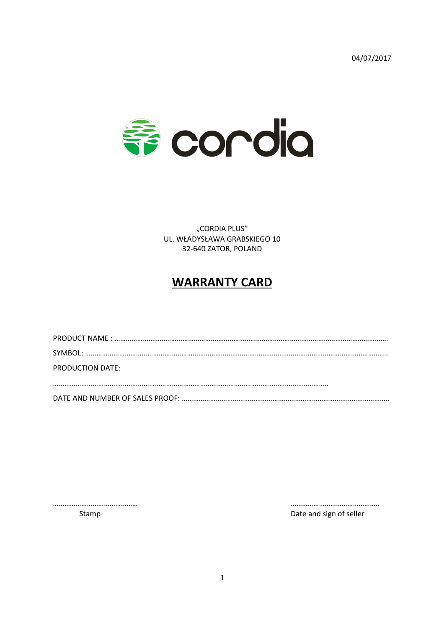04/07/2017



"CORDIA PLUS" UL. WŁADYSŁAWA GRABSKIEGO 10 32-640 ZATOR, POLAND

## **WARRANTY CARD**

| PRODUCTION DATE: |
|------------------|
|                  |
|                  |
|                  |

……………………………………… ………………………………………..

Stamp **Date and sign of seller Date and sign of seller**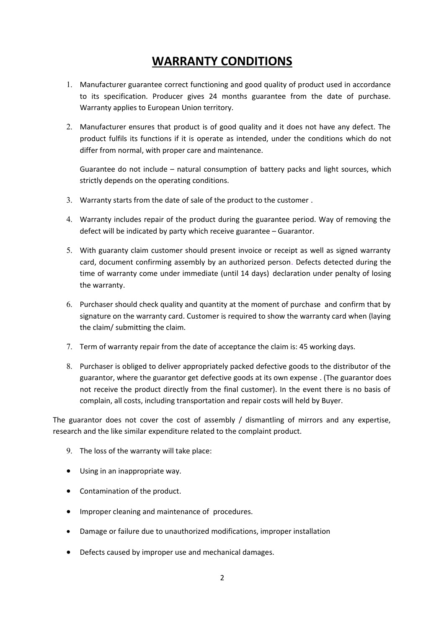## **WARRANTY CONDITIONS**

- 1. Manufacturer guarantee correct functioning and good quality of product used in accordance to its specification. Producer gives 24 months guarantee from the date of purchase. Warranty applies to European Union territory.
- 2. Manufacturer ensures that product is of good quality and it does not have any defect. The product fulfils its functions if it is operate as intended, under the conditions which do not differ from normal, with proper care and maintenance.

Guarantee do not include – natural consumption of battery packs and light sources, which strictly depends on the operating conditions.

- 3. Warranty starts from the date of sale of the product to the customer .
- 4. Warranty includes repair of the product during the guarantee period. Way of removing the defect will be indicated by party which receive guarantee – Guarantor.
- 5. With guaranty claim customer should present invoice or receipt as well as signed warranty card, document confirming assembly by an authorized person. Defects detected during the time of warranty come under immediate (until 14 days) declaration under penalty of losing the warranty.
- 6. Purchaser should check quality and quantity at the moment of purchase and confirm that by signature on the warranty card. Customer is required to show the warranty card when (laying the claim/ submitting the claim.
- 7. Term of warranty repair from the date of acceptance the claim is: 45 working days.
- 8. Purchaser is obliged to deliver appropriately packed defective goods to the distributor of the guarantor, where the guarantor get defective goods at its own expense . (The guarantor does not receive the product directly from the final customer). In the event there is no basis of complain, all costs, including transportation and repair costs will held by Buyer.

The guarantor does not cover the cost of assembly / dismantling of mirrors and any expertise, research and the like similar expenditure related to the complaint product.

- 9. The loss of the warranty will take place:
- Using in an inappropriate way.
- Contamination of the product.
- Improper cleaning and maintenance of procedures.
- Damage or failure due to unauthorized modifications, improper installation
- Defects caused by improper use and mechanical damages.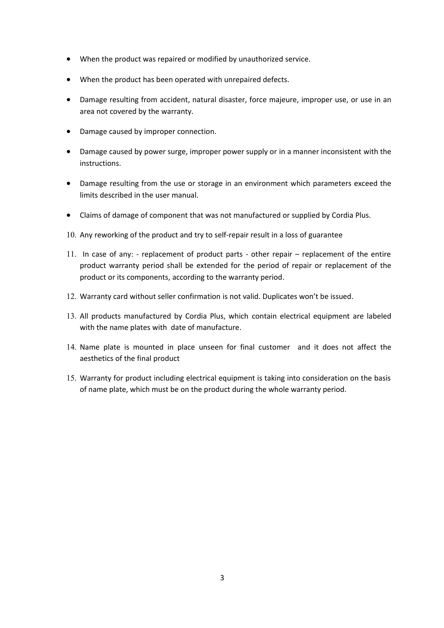- When the product was repaired or modified by unauthorized service.
- When the product has been operated with unrepaired defects.
- Damage resulting from accident, natural disaster, force majeure, improper use, or use in an area not covered by the warranty.
- Damage caused by improper connection.
- Damage caused by power surge, improper power supply or in a manner inconsistent with the instructions.
- Damage resulting from the use or storage in an environment which parameters exceed the limits described in the user manual.
- Claims of damage of component that was not manufactured or supplied by Cordia Plus.
- 10. Any reworking of the product and try to self-repair result in a loss of guarantee
- 11. In case of any: replacement of product parts other repair replacement of the entire product warranty period shall be extended for the period of repair or replacement of the product or its components, according to the warranty period.
- 12. Warranty card without seller confirmation is not valid. Duplicates won't be issued.
- 13. All products manufactured by Cordia Plus, which contain electrical equipment are labeled with the name plates with date of manufacture.
- 14. Name plate is mounted in place unseen for final customer and it does not affect the aesthetics of the final product
- 15. Warranty for product including electrical equipment is taking into consideration on the basis of name plate, which must be on the product during the whole warranty period.